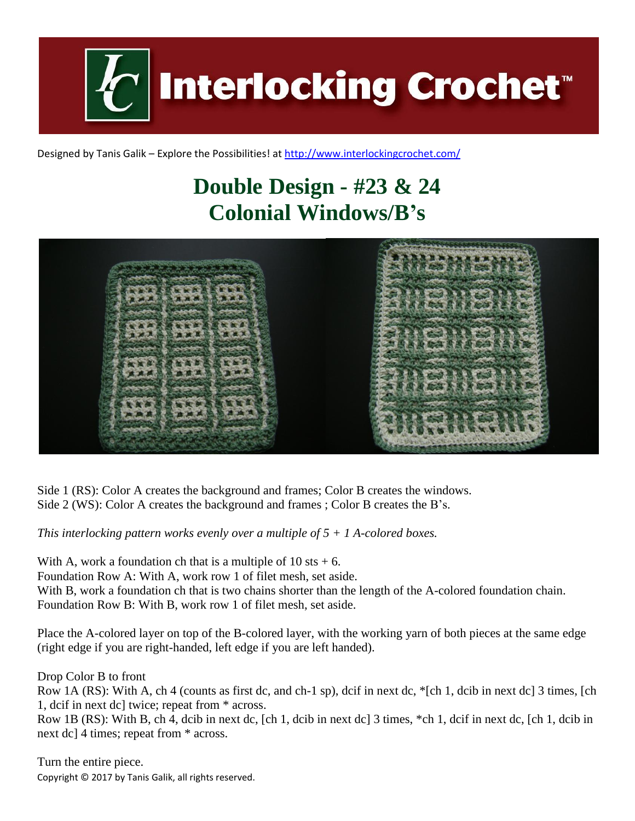

Designed by Tanis Galik – Explore the Possibilities! a[t http://www.interlockingcrochet.com/](http://www.interlockingcrochet.com/)

## **Double Design - #23 & 24 Colonial Windows/B's**



Side 1 (RS): Color A creates the background and frames; Color B creates the windows. Side 2 (WS): Color A creates the background and frames ; Color B creates the B's.

*This interlocking pattern works evenly over a multiple of 5 + 1 A-colored boxes.*

With A, work a foundation ch that is a multiple of  $10 \text{ s}t + 6$ . Foundation Row A: With A, work row 1 of filet mesh, set aside. With B, work a foundation ch that is two chains shorter than the length of the A-colored foundation chain. Foundation Row B: With B, work row 1 of filet mesh, set aside.

Place the A-colored layer on top of the B-colored layer, with the working yarn of both pieces at the same edge (right edge if you are right-handed, left edge if you are left handed).

Drop Color B to front

Row 1A (RS): With A, ch 4 (counts as first dc, and ch-1 sp), dcif in next dc, \*[ch 1, dcib in next dc] 3 times, [ch 1, dcif in next dc] twice; repeat from \* across.

Row 1B (RS): With B, ch 4, dcib in next dc, [ch 1, dcib in next dc] 3 times, \*ch 1, dcif in next dc, [ch 1, dcib in next dc] 4 times; repeat from \* across.

Copyright © 2017 by Tanis Galik, all rights reserved. Turn the entire piece.